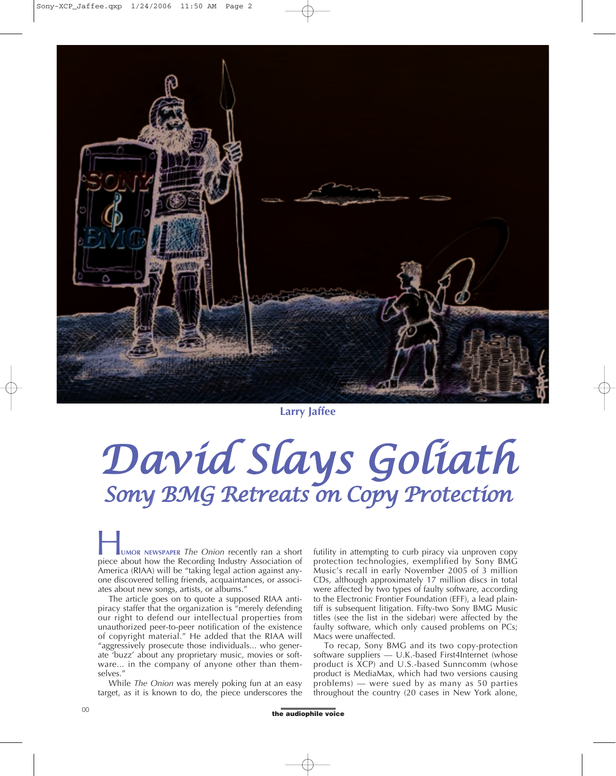

**Larry Jaffee**

## *David Slays Goliath Sony BMG Retreats on Copy Protection*

**UMOR NEWSPAPER** *The Onion* recently ran a short UMOR NEWSPAPER The Onion recently ran a short<br>piece about how the Recording Industry Association of America (RIAA) will be "taking legal action against anyone discovered telling friends, acquaintances, or associates about new songs, artists, or albums."

The article goes on to quote a supposed RIAA antipiracy staffer that the organization is "merely defending our right to defend our intellectual properties from unauthorized peer-to-peer notification of the existence of copyright material." He added that the RIAA will "aggressively prosecute those individuals... who generate 'buzz' about any proprietary music, movies or software... in the company of anyone other than themselves."

While *The Onion* was merely poking fun at an easy target, as it is known to do, the piece underscores the futility in attempting to curb piracy via unproven copy protection technologies, exemplified by Sony BMG Music's recall in early November 2005 of 3 million CDs, although approximately 17 million discs in total were affected by two types of faulty software, according to the Electronic Frontier Foundation (EFF), a lead plaintiff is subsequent litigation. Fifty-two Sony BMG Music titles (see the list in the sidebar) were affected by the faulty software, which only caused problems on PCs; Macs were unaffected.

To recap, Sony BMG and its two copy-protection software suppliers — U.K.-based First4Internet (whose product is XCP) and U.S.-based Sunncomm (whose product is MediaMax, which had two versions causing problems) — were sued by as many as 50 parties throughout the country (20 cases in New York alone,

of the audiophile voice of the audiophile voice of the audiophile voice of the audiophile voice of the state of the state of the state of the state of the state of the state of the state of the state of the state of the st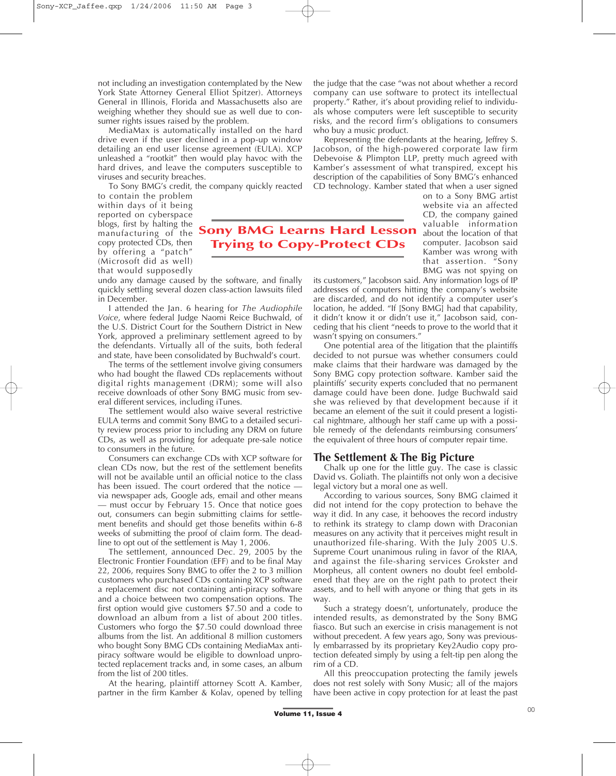not including an investigation contemplated by the New York State Attorney General Elliot Spitzer). Attorneys General in Illinois, Florida and Massachusetts also are weighing whether they should sue as well due to consumer rights issues raised by the problem.

MediaMax is automatically installed on the hard drive even if the user declined in a pop-up window detailing an end user license agreement (EULA). XCP unleashed a "rootkit" then would play havoc with the hard drives, and leave the computers susceptible to viruses and security breaches.

To Sony BMG's credit, the company quickly reacted

to contain the problem within days of it being reported on cyberspace blogs, first by halting the manufacturing of the **Sony BMG Learns Hard Lesson** copy protected CDs, then by offering a "patch" (Microsoft did as well) that would supposedly

**Trying to Copy-Protect CDs**

undo any damage caused by the software, and finally quickly settling several dozen class-action lawsuits filed in December.

I attended the Jan. 6 hearing for *The Audiophile Voice*, where federal Judge Naomi Reice Buchwald, of the U.S. District Court for the Southern District in New York, approved a preliminary settlement agreed to by the defendants. Virtually all of the suits, both federal and state, have been consolidated by Buchwald's court.

The terms of the settlement involve giving consumers who had bought the flawed CDs replacements without digital rights management (DRM); some will also receive downloads of other Sony BMG music from several different services, including iTunes.

The settlement would also waive several restrictive EULA terms and commit Sony BMG to a detailed security review process prior to including any DRM on future CDs, as well as providing for adequate pre-sale notice to consumers in the future.

Consumers can exchange CDs with XCP software for clean CDs now, but the rest of the settlement benefits will not be available until an official notice to the class has been issued. The court ordered that the notice via newspaper ads, Google ads, email and other means — must occur by February 15. Once that notice goes out, consumers can begin submitting claims for settlement benefits and should get those benefits within 6-8 weeks of submitting the proof of claim form. The deadline to opt out of the settlement is May 1, 2006.

The settlement, announced Dec. 29, 2005 by the Electronic Frontier Foundation (EFF) and to be final May 22, 2006, requires Sony BMG to offer the 2 to 3 million customers who purchased CDs containing XCP software a replacement disc not containing anti-piracy software and a choice between two compensation options. The first option would give customers \$7.50 and a code to download an album from a list of about 200 titles. Customers who forgo the \$7.50 could download three albums from the list. An additional 8 million customers who bought Sony BMG CDs containing MediaMax antipiracy software would be eligible to download unprotected replacement tracks and, in some cases, an album from the list of 200 titles.

At the hearing, plaintiff attorney Scott A. Kamber, partner in the firm Kamber & Kolav, opened by telling the judge that the case "was not about whether a record company can use software to protect its intellectual property." Rather, it's about providing relief to individuals whose computers were left susceptible to security risks, and the record firm's obligations to consumers who buy a music product.

Representing the defendants at the hearing, Jeffrey S. Jacobson, of the high-powered corporate law firm Debevoise & Plimpton LLP, pretty much agreed with Kamber's assessment of what transpired, except his description of the capabilities of Sony BMG's enhanced CD technology. Kamber stated that when a user signed

on to a Sony BMG artist website via an affected CD, the company gained valuable information about the location of that computer. Jacobson said Kamber was wrong with that assertion. "Sony BMG was not spying on

its customers," Jacobson said. Any information logs of IP addresses of computers hitting the company's website are discarded, and do not identify a computer user's location, he added. "If [Sony BMG] had that capability, it didn't know it or didn't use it," Jacobson said, conceding that his client "needs to prove to the world that it wasn't spying on consumers.'

One potential area of the litigation that the plaintiffs decided to not pursue was whether consumers could make claims that their hardware was damaged by the Sony BMG copy protection software. Kamber said the plaintiffs' security experts concluded that no permanent damage could have been done. Judge Buchwald said she was relieved by that development because if it became an element of the suit it could present a logistical nightmare, although her staff came up with a possible remedy of the defendants reimbursing consumers' the equivalent of three hours of computer repair time.

## **The Settlement & The Big Picture**

Chalk up one for the little guy. The case is classic David vs. Goliath. The plaintiffs not only won a decisive legal victory but a moral one as well.

According to various sources, Sony BMG claimed it did not intend for the copy protection to behave the way it did. In any case, it behooves the record industry to rethink its strategy to clamp down with Draconian measures on any activity that it perceives might result in unauthorized file-sharing. With the July 2005 U.S. Supreme Court unanimous ruling in favor of the RIAA, and against the file-sharing services Grokster and Morpheus, all content owners no doubt feel emboldened that they are on the right path to protect their assets, and to hell with anyone or thing that gets in its way

Such a strategy doesn't, unfortunately, produce the intended results, as demonstrated by the Sony BMG fiasco. But such an exercise in crisis management is not without precedent. A few years ago, Sony was previously embarrassed by its proprietary Key2Audio copy protection defeated simply by using a felt-tip pen along the rim of a CD.

All this preoccupation protecting the family jewels does not rest solely with Sony Music; all of the majors have been active in copy protection for at least the past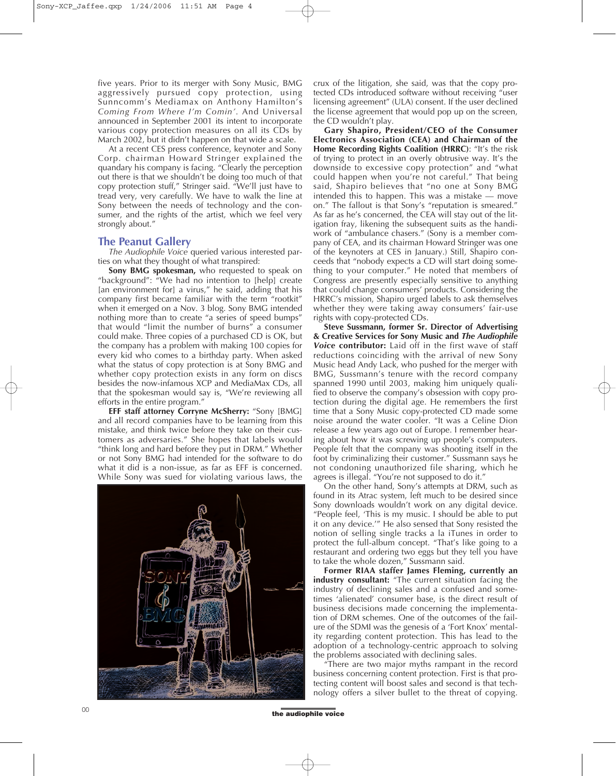five years. Prior to its merger with Sony Music, BMG aggressively pursued copy protection, using Sunncomm's Mediamax on Anthony Hamilton's *Coming From Where I'm Comin'*. And Universal announced in September 2001 its intent to incorporate various copy protection measures on all its CDs by March 2002, but it didn't happen on that wide a scale.

At a recent CES press conference, keynoter and Sony Corp. chairman Howard Stringer explained the quandary his company is facing. "Clearly the perception out there is that we shouldn't be doing too much of that copy protection stuff," Stringer said. "We'll just have to tread very, very carefully. We have to walk the line at Sony between the needs of technology and the consumer, and the rights of the artist, which we feel very strongly about."

## **The Peanut Gallery**

*The Audiophile Voice* queried various interested parties on what they thought of what transpired:

**Sony BMG spokesman,** who requested to speak on "background": "We had no intention to [help] create [an environment for] a virus," he said, adding that his company first became familiar with the term "rootkit" when it emerged on a Nov. 3 blog. Sony BMG intended nothing more than to create "a series of speed bumps" that would "limit the number of burns" a consumer could make. Three copies of a purchased CD is OK, but the company has a problem with making 100 copies for every kid who comes to a birthday party. When asked what the status of copy protection is at Sony BMG and whether copy protection exists in any form on discs besides the now-infamous XCP and MediaMax CDs, all that the spokesman would say is, "We're reviewing all efforts in the entire program."

**EFF staff attorney Corryne McSherry:** "Sony [BMG] and all record companies have to be learning from this mistake, and think twice before they take on their customers as adversaries." She hopes that labels would "think long and hard before they put in DRM." Whether or not Sony BMG had intended for the software to do what it did is a non-issue, as far as EFF is concerned. While Sony was sued for violating various laws, the



crux of the litigation, she said, was that the copy protected CDs introduced software without receiving "user licensing agreement" (ULA) consent. If the user declined the license agreement that would pop up on the screen, the CD wouldn't play.

**Gary Shapiro, President/CEO of the Consumer Electronics Association (CEA) and Chairman of the Home Recording Rights Coalition (HRRC)**: "It's the risk of trying to protect in an overly obtrusive way. It's the downside to excessive copy protection" and "what could happen when you're not careful." That being said, Shapiro believes that "no one at Sony BMG intended this to happen. This was a mistake — move on." The fallout is that Sony's "reputation is smeared." As far as he's concerned, the CEA will stay out of the litigation fray, likening the subsequent suits as the handiwork of "ambulance chasers." (Sony is a member company of CEA, and its chairman Howard Stringer was one of the keynoters at CES in January.) Still, Shapiro conceeds that "nobody expects a CD will start doing something to your computer." He noted that members of Congress are presently especially sensitive to anything that could change consumers' products. Considering the HRRC's mission, Shapiro urged labels to ask themselves whether they were taking away consumers' fair-use rights with copy-protected CDs.

**Steve Sussmann, former Sr. Director of Advertising & Creative Services for Sony Music and** *The Audiophile Voice* **contributor:** Laid off in the first wave of staff reductions coinciding with the arrival of new Sony Music head Andy Lack, who pushed for the merger with BMG, Sussmann's tenure with the record company spanned 1990 until 2003, making him uniquely qualified to observe the company's obsession with copy protection during the digital age. He remembers the first time that a Sony Music copy-protected CD made some noise around the water cooler. "It was a Celine Dion release a few years ago out of Europe. I remember hearing about how it was screwing up people's computers. People felt that the company was shooting itself in the foot by criminalizing their customer." Sussmann says he not condoning unauthorized file sharing, which he agrees is illegal. "You're not supposed to do it."

On the other hand, Sony's attempts at DRM, such as found in its Atrac system, left much to be desired since Sony downloads wouldn't work on any digital device. "People feel, 'This is my music. I should be able to put it on any device.'" He also sensed that Sony resisted the notion of selling single tracks a la iTunes in order to protect the full-album concept. "That's like going to a restaurant and ordering two eggs but they tell you have to take the whole dozen," Sussmann said.

**Former RIAA staffer James Fleming, currently an industry consultant:** "The current situation facing the industry of declining sales and a confused and sometimes 'alienated' consumer base, is the direct result of business decisions made concerning the implementation of DRM schemes. One of the outcomes of the failure of the SDMI was the genesis of a 'Fort Knox' mentality regarding content protection. This has lead to the adoption of a technology-centric approach to solving the problems associated with declining sales.

"There are two major myths rampant in the record business concerning content protection. First is that protecting content will boost sales and second is that technology offers a silver bullet to the threat of copying.

of the audiophile voice of the audiophile voice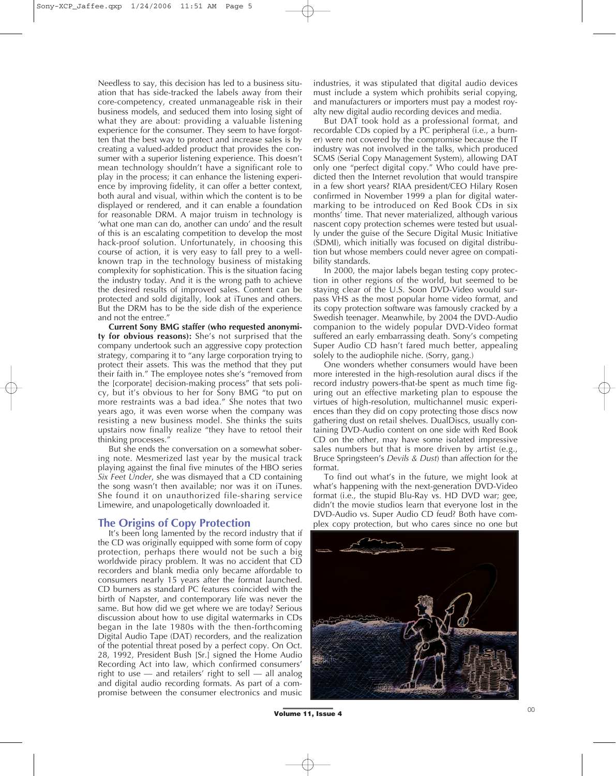Needless to say, this decision has led to a business situation that has side-tracked the labels away from their core-competency, created unmanageable risk in their business models, and seduced them into losing sight of what they are about: providing a valuable listening experience for the consumer. They seem to have forgotten that the best way to protect and increase sales is by creating a valued-added product that provides the consumer with a superior listening experience. This doesn't mean technology shouldn't have a significant role to play in the process; it can enhance the listening experience by improving fidelity, it can offer a better context, both aural and visual, within which the content is to be displayed or rendered, and it can enable a foundation for reasonable DRM. A major truism in technology is 'what one man can do, another can undo' and the result of this is an escalating competition to develop the most hack-proof solution. Unfortunately, in choosing this course of action, it is very easy to fall prey to a wellknown trap in the technology business of mistaking complexity for sophistication. This is the situation facing the industry today. And it is the wrong path to achieve the desired results of improved sales. Content can be protected and sold digitally, look at iTunes and others. But the DRM has to be the side dish of the experience and not the entree."

**Current Sony BMG staffer (who requested anonymity for obvious reasons):** She's not surprised that the company undertook such an aggressive copy protection strategy, comparing it to "any large corporation trying to protect their assets. This was the method that they put their faith in." The employee notes she's "removed from the [corporate] decision-making process" that sets policy, but it's obvious to her for Sony BMG "to put on more restraints was a bad idea." She notes that two years ago, it was even worse when the company was resisting a new business model. She thinks the suits upstairs now finally realize "they have to retool their thinking processes.

But she ends the conversation on a somewhat sobering note. Mesmerized last year by the musical track playing against the final five minutes of the HBO series *Six Feet Under*, she was dismayed that a CD containing the song wasn't then available; nor was it on iTunes. She found it on unauthorized file-sharing service Limewire, and unapologetically downloaded it.

## **The Origins of Copy Protection**

It's been long lamented by the record industry that if the CD was originally equipped with some form of copy protection, perhaps there would not be such a big worldwide piracy problem. It was no accident that CD recorders and blank media only became affordable to consumers nearly 15 years after the format launched. CD burners as standard PC features coincided with the birth of Napster, and contemporary life was never the same. But how did we get where we are today? Serious discussion about how to use digital watermarks in CDs began in the late 1980s with the then-forthcoming Digital Audio Tape (DAT) recorders, and the realization of the potential threat posed by a perfect copy. On Oct. 28, 1992, President Bush [Sr.] signed the Home Audio Recording Act into law, which confirmed consumers' right to use — and retailers' right to sell — all analog and digital audio recording formats. As part of a compromise between the consumer electronics and music industries, it was stipulated that digital audio devices must include a system which prohibits serial copying, and manufacturers or importers must pay a modest royalty new digital audio recording devices and media.

But DAT took hold as a professional format, and recordable CDs copied by a PC peripheral (i.e., a burner) were not covered by the compromise because the IT industry was not involved in the talks, which produced SCMS (Serial Copy Management System), allowing DAT only one "perfect digital copy." Who could have predicted then the Internet revolution that would transpire in a few short years? RIAA president/CEO Hilary Rosen confirmed in November 1999 a plan for digital watermarking to be introduced on Red Book CDs in six months' time. That never materialized, although various nascent copy protection schemes were tested but usually under the guise of the Secure Digital Music Initiative (SDMI), which initially was focused on digital distribution but whose members could never agree on compatibility standards.

In 2000, the major labels began testing copy protection in other regions of the world, but seemed to be staying clear of the U.S. Soon DVD-Video would surpass VHS as the most popular home video format, and its copy protection software was famously cracked by a Swedish teenager. Meanwhile, by 2004 the DVD-Audio companion to the widely popular DVD-Video format suffered an early embarrassing death. Sony's competing Super Audio CD hasn't fared much better, appealing solely to the audiophile niche. (Sorry, gang.)

One wonders whether consumers would have been more interested in the high-resolution aural discs if the record industry powers-that-be spent as much time figuring out an effective marketing plan to espouse the virtues of high-resolution, multichannel music experiences than they did on copy protecting those discs now gathering dust on retail shelves. DualDiscs, usually containing DVD-Audio content on one side with Red Book CD on the other, may have some isolated impressive sales numbers but that is more driven by artist (e.g., Bruce Springsteen's *Devils & Dust*) than affection for the format.

To find out what's in the future, we might look at what's happening with the next-generation DVD-Video format (i.e., the stupid Blu-Ray vs. HD DVD war; gee, didn't the movie studios learn that everyone lost in the DVD-Audio vs. Super Audio CD feud? Both have complex copy protection, but who cares since no one but



 $\overline{\text{Volume 11, Issue 4}}$  00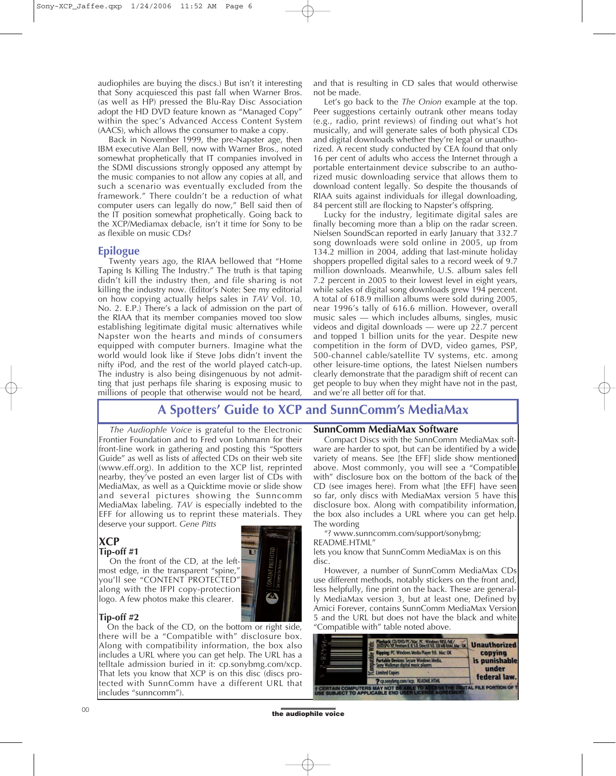audiophiles are buying the discs.) But isn't it interesting that Sony acquiesced this past fall when Warner Bros. (as well as HP) pressed the Blu-Ray Disc Association adopt the HD DVD feature known as "Managed Copy" within the spec's Advanced Access Content System (AACS), which allows the consumer to make a copy.

Back in November 1999, the pre-Napster age, then IBM executive Alan Bell, now with Warner Bros., noted somewhat prophetically that IT companies involved in the SDMI discussions strongly opposed any attempt by the music companies to not allow any copies at all, and such a scenario was eventually excluded from the framework." There couldn't be a reduction of what computer users can legally do now," Bell said then of the IT position somewhat prophetically. Going back to the XCP/Mediamax debacle, isn't it time for Sony to be as flexible on music CDs?

## **Epilogue**

Twenty years ago, the RIAA bellowed that "Home Taping Is Killing The Industry." The truth is that taping didn't kill the industry then, and file sharing is not killing the industry now. (Editor's Note: See my editorial on how copying actually helps sales in *TAV* Vol. 10, No. 2. E.P.) There's a lack of admission on the part of the RIAA that its member companies moved too slow establishing legitimate digital music alternatives while Napster won the hearts and minds of consumers equipped with computer burners. Imagine what the world would look like if Steve Jobs didn't invent the nifty iPod, and the rest of the world played catch-up. The industry is also being disingenuous by not admitting that just perhaps file sharing is exposing music to millions of people that otherwise would not be heard,

and that is resulting in CD sales that would otherwise not be made.

Let's go back to the *The Onion* example at the top. Peer suggestions certainly outrank other means today (e.g., radio, print reviews) of finding out what's hot musically, and will generate sales of both physical CDs and digital downloads whether they're legal or unauthorized. A recent study conducted by CEA found that only 16 per cent of adults who access the Internet through a portable entertainment device subscribe to an authorized music downloading service that allows them to download content legally. So despite the thousands of RIAA suits against individuals for illegal downloading, 84 percent still are flocking to Napster's offspring.

Lucky for the industry, legitimate digital sales are finally becoming more than a blip on the radar screen. Nielsen SoundScan reported in early January that 332.7 song downloads were sold online in 2005, up from 134.2 million in 2004, adding that last-minute holiday shoppers propelled digital sales to a record week of 9.7 million downloads. Meanwhile, U.S. album sales fell 7.2 percent in 2005 to their lowest level in eight years, while sales of digital song downloads grew 194 percent. A total of 618.9 million albums were sold during 2005, near 1996's tally of 616.6 million. However, overall music sales — which includes albums, singles, music videos and digital downloads — were up 22.7 percent and topped 1 billion units for the year. Despite new competition in the form of DVD, video games, PSP, 500-channel cable/satellite TV systems, etc. among other leisure-time options, the latest Nielsen numbers clearly demonstrate that the paradigm shift of recent can get people to buy when they might have not in the past, and we're all better off for that.

## **A Spotters' Guide to XCP and SunnComm's MediaMax**

*The Audiophle Voice* is grateful to the Electronic Frontier Foundation and to Fred von Lohmann for their front-line work in gathering and posting this "Spotters Guide" as well as lists of affected CDs on their web site (www.eff.org). In addition to the XCP list, reprinted nearby, they've posted an even larger list of CDs with MediaMax, as well as a Quicktime movie or slide show and several pictures showing the Sunncomm MediaMax labeling. *TAV* is especially indebted to the EFF for allowing us to reprint these materials. They deserve your support. *Gene Pitts*

## **XCP Tip-off #1**

On the front of the CD, at the leftmost edge, in the transparent "spine," you'll see "CONTENT PROTECTED" along with the IFPI copy-protection logo. A few photos make this clearer.

## **Tip-off #2**

On the back of the CD, on the bottom or right side, there will be a "Compatible with" disclosure box. Along with compatibility information, the box also includes a URL where you can get help. The URL has a telltale admission buried in it: cp.sonybmg.com/xcp. That lets you know that XCP is on this disc (discs protected with SunnComm have a different URL that includes "sunncomm").

## **SunnComm MediaMax Software**

Compact Discs with the SunnComm MediaMax software are harder to spot, but can be identified by a wide variety of means. See [the EFF] slide show mentioned above. Most commonly, you will see a "Compatible with" disclosure box on the bottom of the back of the CD (see images here). From what [the EFF] have seen so far, only discs with MediaMax version 5 have this disclosure box. Along with compatibility information, the box also includes a URL where you can get help. The wording

"? www.sunncomm.com/support/sonybmg; README.HTML"

lets you know that SunnComm MediaMax is on this disc.

However, a number of SunnComm MediaMax CDs use different methods, notably stickers on the front and, less helpfully, fine print on the back. These are generally MediaMax version 3, but at least one, Defined by Amici Forever, contains SunnComm MediaMax Version 5 and the URL but does not have the black and white "Compatible with" table noted above.



of the audiophile voice of the audiophile voice